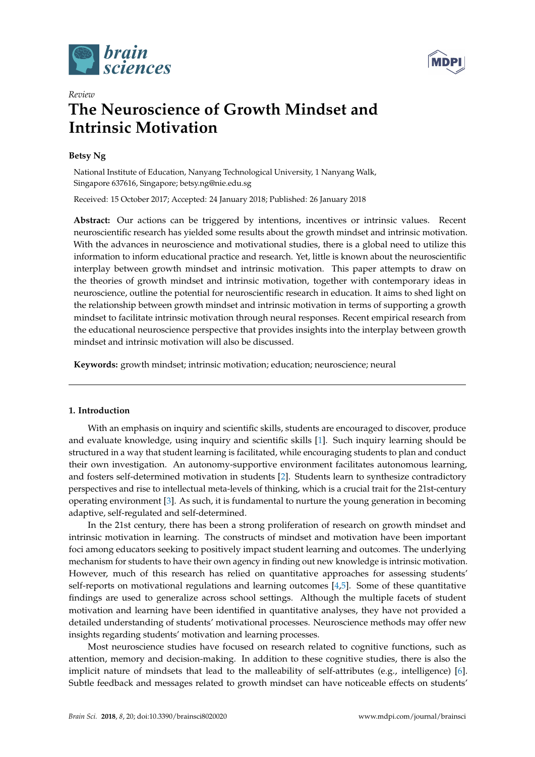



# *Review* **The Neuroscience of Growth Mindset and Intrinsic Motivation**

# **Betsy Ng**

National Institute of Education, Nanyang Technological University, 1 Nanyang Walk, Singapore 637616, Singapore; betsy.ng@nie.edu.sg

Received: 15 October 2017; Accepted: 24 January 2018; Published: 26 January 2018

Abstract: Our actions can be triggered by intentions, incentives or intrinsic values. Recent neuroscientific research has yielded some results about the growth mindset and intrinsic motivation. With the advances in neuroscience and motivational studies, there is a global need to utilize this information to inform educational practice and research. Yet, little is known about the neuroscientific interplay between growth mindset and intrinsic motivation. This paper attempts to draw on the theories of growth mindset and intrinsic motivation, together with contemporary ideas in neuroscience, outline the potential for neuroscientific research in education. It aims to shed light on the relationship between growth mindset and intrinsic motivation in terms of supporting a growth mindset to facilitate intrinsic motivation through neural responses. Recent empirical research from the educational neuroscience perspective that provides insights into the interplay between growth mindset and intrinsic motivation will also be discussed.

**Keywords:** growth mindset; intrinsic motivation; education; neuroscience; neural

# **1. Introduction**

With an emphasis on inquiry and scientific skills, students are encouraged to discover, produce and evaluate knowledge, using inquiry and scientific skills [\[1\]](#page-7-0). Such inquiry learning should be structured in a way that student learning is facilitated, while encouraging students to plan and conduct their own investigation. An autonomy-supportive environment facilitates autonomous learning, and fosters self-determined motivation in students [\[2\]](#page-7-1). Students learn to synthesize contradictory perspectives and rise to intellectual meta-levels of thinking, which is a crucial trait for the 21st-century operating environment [\[3\]](#page-7-2). As such, it is fundamental to nurture the young generation in becoming adaptive, self-regulated and self-determined.

In the 21st century, there has been a strong proliferation of research on growth mindset and intrinsic motivation in learning. The constructs of mindset and motivation have been important foci among educators seeking to positively impact student learning and outcomes. The underlying mechanism for students to have their own agency in finding out new knowledge is intrinsic motivation. However, much of this research has relied on quantitative approaches for assessing students' self-reports on motivational regulations and learning outcomes [\[4](#page-7-3)[,5\]](#page-7-4). Some of these quantitative findings are used to generalize across school settings. Although the multiple facets of student motivation and learning have been identified in quantitative analyses, they have not provided a detailed understanding of students' motivational processes. Neuroscience methods may offer new insights regarding students' motivation and learning processes.

Most neuroscience studies have focused on research related to cognitive functions, such as attention, memory and decision-making. In addition to these cognitive studies, there is also the implicit nature of mindsets that lead to the malleability of self-attributes (e.g., intelligence) [\[6\]](#page-7-5). Subtle feedback and messages related to growth mindset can have noticeable effects on students'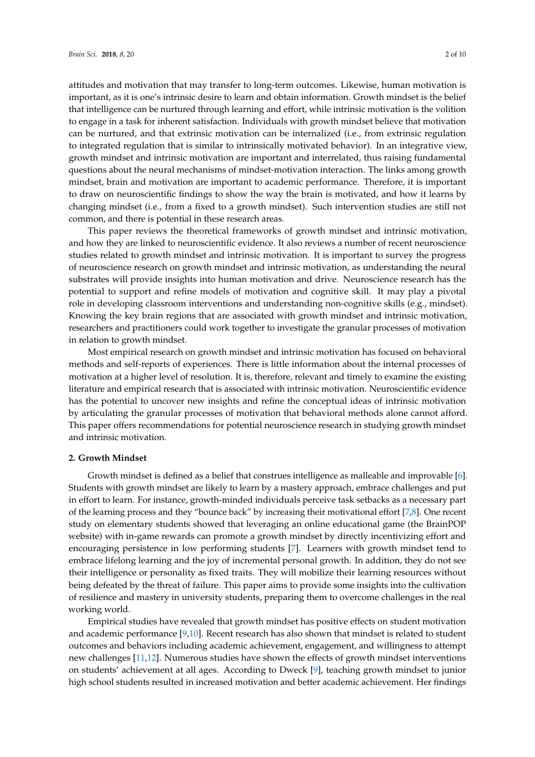attitudes and motivation that may transfer to long-term outcomes. Likewise, human motivation is important, as it is one's intrinsic desire to learn and obtain information. Growth mindset is the belief that intelligence can be nurtured through learning and effort, while intrinsic motivation is the volition to engage in a task for inherent satisfaction. Individuals with growth mindset believe that motivation can be nurtured, and that extrinsic motivation can be internalized (i.e., from extrinsic regulation to integrated regulation that is similar to intrinsically motivated behavior). In an integrative view, growth mindset and intrinsic motivation are important and interrelated, thus raising fundamental questions about the neural mechanisms of mindset-motivation interaction. The links among growth mindset, brain and motivation are important to academic performance. Therefore, it is important to draw on neuroscientific findings to show the way the brain is motivated, and how it learns by changing mindset (i.e., from a fixed to a growth mindset). Such intervention studies are still not common, and there is potential in these research areas.

This paper reviews the theoretical frameworks of growth mindset and intrinsic motivation, and how they are linked to neuroscientific evidence. It also reviews a number of recent neuroscience studies related to growth mindset and intrinsic motivation. It is important to survey the progress of neuroscience research on growth mindset and intrinsic motivation, as understanding the neural substrates will provide insights into human motivation and drive. Neuroscience research has the potential to support and refine models of motivation and cognitive skill. It may play a pivotal role in developing classroom interventions and understanding non-cognitive skills (e.g., mindset). Knowing the key brain regions that are associated with growth mindset and intrinsic motivation, researchers and practitioners could work together to investigate the granular processes of motivation in relation to growth mindset.

Most empirical research on growth mindset and intrinsic motivation has focused on behavioral methods and self-reports of experiences. There is little information about the internal processes of motivation at a higher level of resolution. It is, therefore, relevant and timely to examine the existing literature and empirical research that is associated with intrinsic motivation. Neuroscientific evidence has the potential to uncover new insights and refine the conceptual ideas of intrinsic motivation by articulating the granular processes of motivation that behavioral methods alone cannot afford. This paper offers recommendations for potential neuroscience research in studying growth mindset and intrinsic motivation.

### **2. Growth Mindset**

Growth mindset is defined as a belief that construes intelligence as malleable and improvable [\[6\]](#page-7-5). Students with growth mindset are likely to learn by a mastery approach, embrace challenges and put in effort to learn. For instance, growth-minded individuals perceive task setbacks as a necessary part of the learning process and they "bounce back" by increasing their motivational effort [\[7](#page-7-6)[,8\]](#page-7-7). One recent study on elementary students showed that leveraging an online educational game (the BrainPOP website) with in-game rewards can promote a growth mindset by directly incentivizing effort and encouraging persistence in low performing students [\[7\]](#page-7-6). Learners with growth mindset tend to embrace lifelong learning and the joy of incremental personal growth. In addition, they do not see their intelligence or personality as fixed traits. They will mobilize their learning resources without being defeated by the threat of failure. This paper aims to provide some insights into the cultivation of resilience and mastery in university students, preparing them to overcome challenges in the real working world.

Empirical studies have revealed that growth mindset has positive effects on student motivation and academic performance [\[9,](#page-8-0)[10\]](#page-8-1). Recent research has also shown that mindset is related to student outcomes and behaviors including academic achievement, engagement, and willingness to attempt new challenges [\[11](#page-8-2)[,12\]](#page-8-3). Numerous studies have shown the effects of growth mindset interventions on students' achievement at all ages. According to Dweck [\[9\]](#page-8-0), teaching growth mindset to junior high school students resulted in increased motivation and better academic achievement. Her findings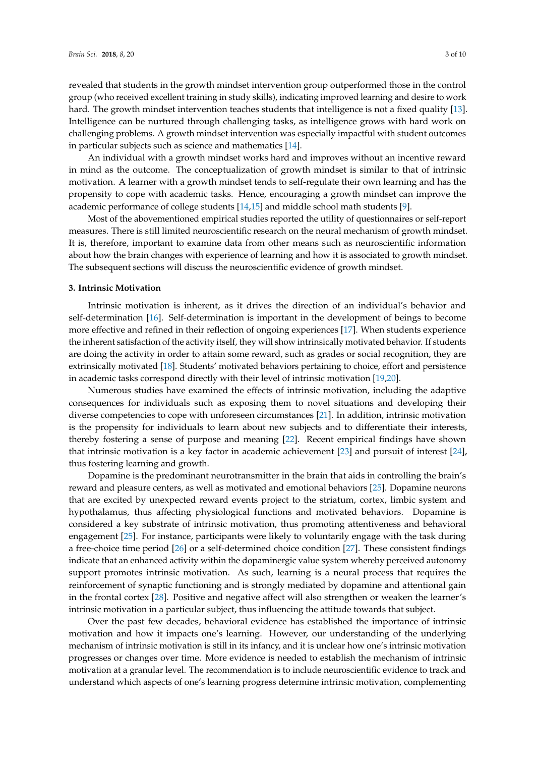revealed that students in the growth mindset intervention group outperformed those in the control group (who received excellent training in study skills), indicating improved learning and desire to work hard. The growth mindset intervention teaches students that intelligence is not a fixed quality [\[13\]](#page-8-4). Intelligence can be nurtured through challenging tasks, as intelligence grows with hard work on challenging problems. A growth mindset intervention was especially impactful with student outcomes in particular subjects such as science and mathematics [\[14\]](#page-8-5).

An individual with a growth mindset works hard and improves without an incentive reward in mind as the outcome. The conceptualization of growth mindset is similar to that of intrinsic motivation. A learner with a growth mindset tends to self-regulate their own learning and has the propensity to cope with academic tasks. Hence, encouraging a growth mindset can improve the academic performance of college students [\[14](#page-8-5)[,15\]](#page-8-6) and middle school math students [\[9\]](#page-8-0).

Most of the abovementioned empirical studies reported the utility of questionnaires or self-report measures. There is still limited neuroscientific research on the neural mechanism of growth mindset. It is, therefore, important to examine data from other means such as neuroscientific information about how the brain changes with experience of learning and how it is associated to growth mindset. The subsequent sections will discuss the neuroscientific evidence of growth mindset.

### **3. Intrinsic Motivation**

Intrinsic motivation is inherent, as it drives the direction of an individual's behavior and self-determination [\[16\]](#page-8-7). Self-determination is important in the development of beings to become more effective and refined in their reflection of ongoing experiences [\[17\]](#page-8-8). When students experience the inherent satisfaction of the activity itself, they will show intrinsically motivated behavior. If students are doing the activity in order to attain some reward, such as grades or social recognition, they are extrinsically motivated [\[18\]](#page-8-9). Students' motivated behaviors pertaining to choice, effort and persistence in academic tasks correspond directly with their level of intrinsic motivation [\[19,](#page-8-10)[20\]](#page-8-11).

Numerous studies have examined the effects of intrinsic motivation, including the adaptive consequences for individuals such as exposing them to novel situations and developing their diverse competencies to cope with unforeseen circumstances [\[21\]](#page-8-12). In addition, intrinsic motivation is the propensity for individuals to learn about new subjects and to differentiate their interests, thereby fostering a sense of purpose and meaning [\[22\]](#page-8-13). Recent empirical findings have shown that intrinsic motivation is a key factor in academic achievement [\[23\]](#page-8-14) and pursuit of interest [\[24\]](#page-8-15), thus fostering learning and growth.

Dopamine is the predominant neurotransmitter in the brain that aids in controlling the brain's reward and pleasure centers, as well as motivated and emotional behaviors [\[25\]](#page-8-16). Dopamine neurons that are excited by unexpected reward events project to the striatum, cortex, limbic system and hypothalamus, thus affecting physiological functions and motivated behaviors. Dopamine is considered a key substrate of intrinsic motivation, thus promoting attentiveness and behavioral engagement [\[25\]](#page-8-16). For instance, participants were likely to voluntarily engage with the task during a free-choice time period [\[26\]](#page-8-17) or a self-determined choice condition [\[27\]](#page-8-18). These consistent findings indicate that an enhanced activity within the dopaminergic value system whereby perceived autonomy support promotes intrinsic motivation. As such, learning is a neural process that requires the reinforcement of synaptic functioning and is strongly mediated by dopamine and attentional gain in the frontal cortex [\[28\]](#page-8-19). Positive and negative affect will also strengthen or weaken the learner's intrinsic motivation in a particular subject, thus influencing the attitude towards that subject.

Over the past few decades, behavioral evidence has established the importance of intrinsic motivation and how it impacts one's learning. However, our understanding of the underlying mechanism of intrinsic motivation is still in its infancy, and it is unclear how one's intrinsic motivation progresses or changes over time. More evidence is needed to establish the mechanism of intrinsic motivation at a granular level. The recommendation is to include neuroscientific evidence to track and understand which aspects of one's learning progress determine intrinsic motivation, complementing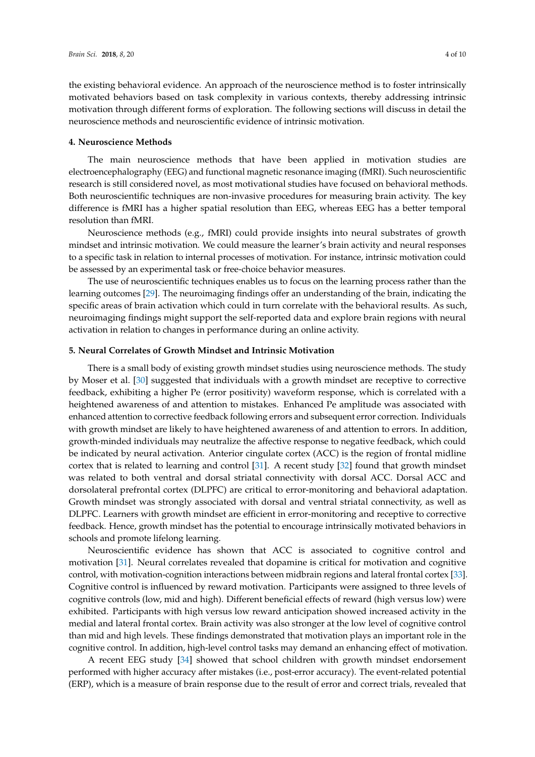the existing behavioral evidence. An approach of the neuroscience method is to foster intrinsically motivated behaviors based on task complexity in various contexts, thereby addressing intrinsic motivation through different forms of exploration. The following sections will discuss in detail the neuroscience methods and neuroscientific evidence of intrinsic motivation.

# **4. Neuroscience Methods**

The main neuroscience methods that have been applied in motivation studies are electroencephalography (EEG) and functional magnetic resonance imaging (fMRI). Such neuroscientific research is still considered novel, as most motivational studies have focused on behavioral methods. Both neuroscientific techniques are non-invasive procedures for measuring brain activity. The key difference is fMRI has a higher spatial resolution than EEG, whereas EEG has a better temporal resolution than fMRI.

Neuroscience methods (e.g., fMRI) could provide insights into neural substrates of growth mindset and intrinsic motivation. We could measure the learner's brain activity and neural responses to a specific task in relation to internal processes of motivation. For instance, intrinsic motivation could be assessed by an experimental task or free-choice behavior measures.

The use of neuroscientific techniques enables us to focus on the learning process rather than the learning outcomes [\[29\]](#page-8-20). The neuroimaging findings offer an understanding of the brain, indicating the specific areas of brain activation which could in turn correlate with the behavioral results. As such, neuroimaging findings might support the self-reported data and explore brain regions with neural activation in relation to changes in performance during an online activity.

# **5. Neural Correlates of Growth Mindset and Intrinsic Motivation**

There is a small body of existing growth mindset studies using neuroscience methods. The study by Moser et al. [\[30\]](#page-8-21) suggested that individuals with a growth mindset are receptive to corrective feedback, exhibiting a higher Pe (error positivity) waveform response, which is correlated with a heightened awareness of and attention to mistakes. Enhanced Pe amplitude was associated with enhanced attention to corrective feedback following errors and subsequent error correction. Individuals with growth mindset are likely to have heightened awareness of and attention to errors. In addition, growth-minded individuals may neutralize the affective response to negative feedback, which could be indicated by neural activation. Anterior cingulate cortex (ACC) is the region of frontal midline cortex that is related to learning and control [\[31\]](#page-8-22). A recent study [\[32\]](#page-8-23) found that growth mindset was related to both ventral and dorsal striatal connectivity with dorsal ACC. Dorsal ACC and dorsolateral prefrontal cortex (DLPFC) are critical to error-monitoring and behavioral adaptation. Growth mindset was strongly associated with dorsal and ventral striatal connectivity, as well as DLPFC. Learners with growth mindset are efficient in error-monitoring and receptive to corrective feedback. Hence, growth mindset has the potential to encourage intrinsically motivated behaviors in schools and promote lifelong learning.

Neuroscientific evidence has shown that ACC is associated to cognitive control and motivation [\[31\]](#page-8-22). Neural correlates revealed that dopamine is critical for motivation and cognitive control, with motivation-cognition interactions between midbrain regions and lateral frontal cortex [\[33\]](#page-8-24). Cognitive control is influenced by reward motivation. Participants were assigned to three levels of cognitive controls (low, mid and high). Different beneficial effects of reward (high versus low) were exhibited. Participants with high versus low reward anticipation showed increased activity in the medial and lateral frontal cortex. Brain activity was also stronger at the low level of cognitive control than mid and high levels. These findings demonstrated that motivation plays an important role in the cognitive control. In addition, high-level control tasks may demand an enhancing effect of motivation.

A recent EEG study [\[34\]](#page-9-0) showed that school children with growth mindset endorsement performed with higher accuracy after mistakes (i.e., post-error accuracy). The event-related potential (ERP), which is a measure of brain response due to the result of error and correct trials, revealed that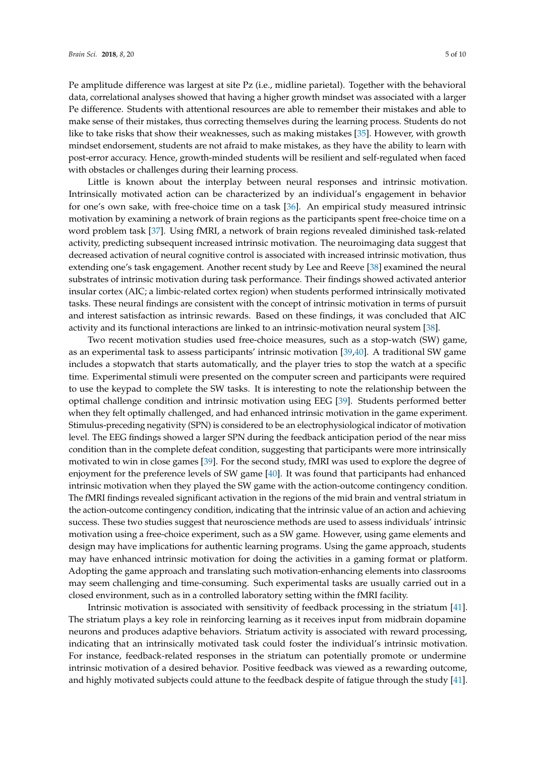Pe amplitude difference was largest at site Pz (i.e., midline parietal). Together with the behavioral data, correlational analyses showed that having a higher growth mindset was associated with a larger Pe difference. Students with attentional resources are able to remember their mistakes and able to make sense of their mistakes, thus correcting themselves during the learning process. Students do not like to take risks that show their weaknesses, such as making mistakes [\[35\]](#page-9-1). However, with growth mindset endorsement, students are not afraid to make mistakes, as they have the ability to learn with post-error accuracy. Hence, growth-minded students will be resilient and self-regulated when faced with obstacles or challenges during their learning process.

Little is known about the interplay between neural responses and intrinsic motivation. Intrinsically motivated action can be characterized by an individual's engagement in behavior for one's own sake, with free-choice time on a task [\[36\]](#page-9-2). An empirical study measured intrinsic motivation by examining a network of brain regions as the participants spent free-choice time on a word problem task [\[37\]](#page-9-3). Using fMRI, a network of brain regions revealed diminished task-related activity, predicting subsequent increased intrinsic motivation. The neuroimaging data suggest that decreased activation of neural cognitive control is associated with increased intrinsic motivation, thus extending one's task engagement. Another recent study by Lee and Reeve [\[38\]](#page-9-4) examined the neural substrates of intrinsic motivation during task performance. Their findings showed activated anterior insular cortex (AIC; a limbic-related cortex region) when students performed intrinsically motivated tasks. These neural findings are consistent with the concept of intrinsic motivation in terms of pursuit and interest satisfaction as intrinsic rewards. Based on these findings, it was concluded that AIC activity and its functional interactions are linked to an intrinsic-motivation neural system [\[38\]](#page-9-4).

Two recent motivation studies used free-choice measures, such as a stop-watch (SW) game, as an experimental task to assess participants' intrinsic motivation [\[39](#page-9-5)[,40\]](#page-9-6). A traditional SW game includes a stopwatch that starts automatically, and the player tries to stop the watch at a specific time. Experimental stimuli were presented on the computer screen and participants were required to use the keypad to complete the SW tasks. It is interesting to note the relationship between the optimal challenge condition and intrinsic motivation using EEG [\[39\]](#page-9-5). Students performed better when they felt optimally challenged, and had enhanced intrinsic motivation in the game experiment. Stimulus-preceding negativity (SPN) is considered to be an electrophysiological indicator of motivation level. The EEG findings showed a larger SPN during the feedback anticipation period of the near miss condition than in the complete defeat condition, suggesting that participants were more intrinsically motivated to win in close games [\[39\]](#page-9-5). For the second study, fMRI was used to explore the degree of enjoyment for the preference levels of SW game [\[40\]](#page-9-6). It was found that participants had enhanced intrinsic motivation when they played the SW game with the action-outcome contingency condition. The fMRI findings revealed significant activation in the regions of the mid brain and ventral striatum in the action-outcome contingency condition, indicating that the intrinsic value of an action and achieving success. These two studies suggest that neuroscience methods are used to assess individuals' intrinsic motivation using a free-choice experiment, such as a SW game. However, using game elements and design may have implications for authentic learning programs. Using the game approach, students may have enhanced intrinsic motivation for doing the activities in a gaming format or platform. Adopting the game approach and translating such motivation-enhancing elements into classrooms may seem challenging and time-consuming. Such experimental tasks are usually carried out in a closed environment, such as in a controlled laboratory setting within the fMRI facility.

Intrinsic motivation is associated with sensitivity of feedback processing in the striatum [\[41\]](#page-9-7). The striatum plays a key role in reinforcing learning as it receives input from midbrain dopamine neurons and produces adaptive behaviors. Striatum activity is associated with reward processing, indicating that an intrinsically motivated task could foster the individual's intrinsic motivation. For instance, feedback-related responses in the striatum can potentially promote or undermine intrinsic motivation of a desired behavior. Positive feedback was viewed as a rewarding outcome, and highly motivated subjects could attune to the feedback despite of fatigue through the study [\[41\]](#page-9-7).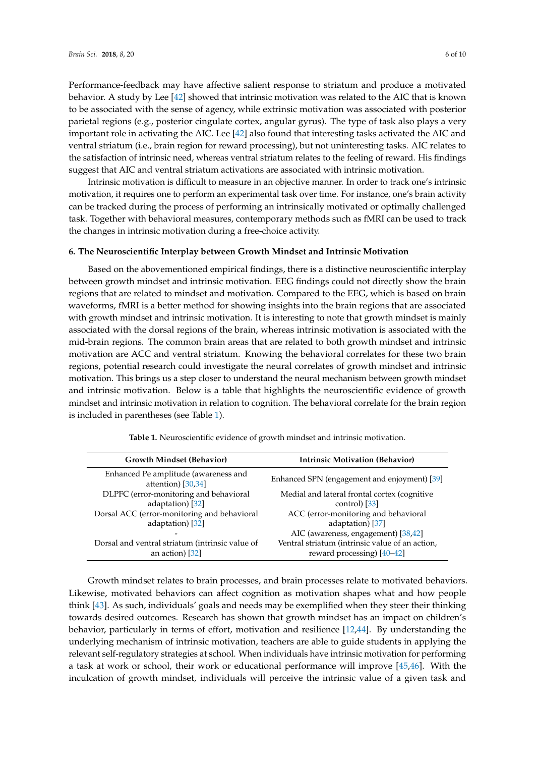Performance-feedback may have affective salient response to striatum and produce a motivated behavior. A study by Lee [\[42\]](#page-9-8) showed that intrinsic motivation was related to the AIC that is known to be associated with the sense of agency, while extrinsic motivation was associated with posterior parietal regions (e.g., posterior cingulate cortex, angular gyrus). The type of task also plays a very important role in activating the AIC. Lee [\[42\]](#page-9-8) also found that interesting tasks activated the AIC and ventral striatum (i.e., brain region for reward processing), but not uninteresting tasks. AIC relates to the satisfaction of intrinsic need, whereas ventral striatum relates to the feeling of reward. His findings suggest that AIC and ventral striatum activations are associated with intrinsic motivation.

Intrinsic motivation is difficult to measure in an objective manner. In order to track one's intrinsic motivation, it requires one to perform an experimental task over time. For instance, one's brain activity can be tracked during the process of performing an intrinsically motivated or optimally challenged task. Together with behavioral measures, contemporary methods such as fMRI can be used to track the changes in intrinsic motivation during a free-choice activity.

# **6. The Neuroscientific Interplay between Growth Mindset and Intrinsic Motivation**

Based on the abovementioned empirical findings, there is a distinctive neuroscientific interplay between growth mindset and intrinsic motivation. EEG findings could not directly show the brain regions that are related to mindset and motivation. Compared to the EEG, which is based on brain waveforms, fMRI is a better method for showing insights into the brain regions that are associated with growth mindset and intrinsic motivation. It is interesting to note that growth mindset is mainly associated with the dorsal regions of the brain, whereas intrinsic motivation is associated with the mid-brain regions. The common brain areas that are related to both growth mindset and intrinsic motivation are ACC and ventral striatum. Knowing the behavioral correlates for these two brain regions, potential research could investigate the neural correlates of growth mindset and intrinsic motivation. This brings us a step closer to understand the neural mechanism between growth mindset and intrinsic motivation. Below is a table that highlights the neuroscientific evidence of growth mindset and intrinsic motivation in relation to cognition. The behavioral correlate for the brain region is included in parentheses (see Table [1\)](#page-5-0).

<span id="page-5-0"></span>

| <b>Growth Mindset (Behavior)</b>                                   | <b>Intrinsic Motivation (Behavior)</b>                                          |
|--------------------------------------------------------------------|---------------------------------------------------------------------------------|
| Enhanced Pe amplitude (awareness and<br>attention) [30,34]         | Enhanced SPN (engagement and enjoyment) [39]                                    |
| DLPFC (error-monitoring and behavioral                             | Medial and lateral frontal cortex (cognitive                                    |
| adaptation) [32]                                                   | control) [33]                                                                   |
| Dorsal ACC (error-monitoring and behavioral                        | ACC (error-monitoring and behavioral                                            |
| adaptation) [32]                                                   | adaptation) [37]                                                                |
|                                                                    | AIC (awareness, engagement) [38,42]                                             |
| Dorsal and ventral striatum (intrinsic value of<br>an action) [32] | Ventral striatum (intrinsic value of an action,<br>reward processing) $[40-42]$ |

**Table 1.** Neuroscientific evidence of growth mindset and intrinsic motivation.

Growth mindset relates to brain processes, and brain processes relate to motivated behaviors. Likewise, motivated behaviors can affect cognition as motivation shapes what and how people think [\[43\]](#page-9-9). As such, individuals' goals and needs may be exemplified when they steer their thinking towards desired outcomes. Research has shown that growth mindset has an impact on children's behavior, particularly in terms of effort, motivation and resilience [\[12](#page-8-3)[,44\]](#page-9-10). By understanding the underlying mechanism of intrinsic motivation, teachers are able to guide students in applying the relevant self-regulatory strategies at school. When individuals have intrinsic motivation for performing a task at work or school, their work or educational performance will improve [\[45,](#page-9-11)[46\]](#page-9-12). With the inculcation of growth mindset, individuals will perceive the intrinsic value of a given task and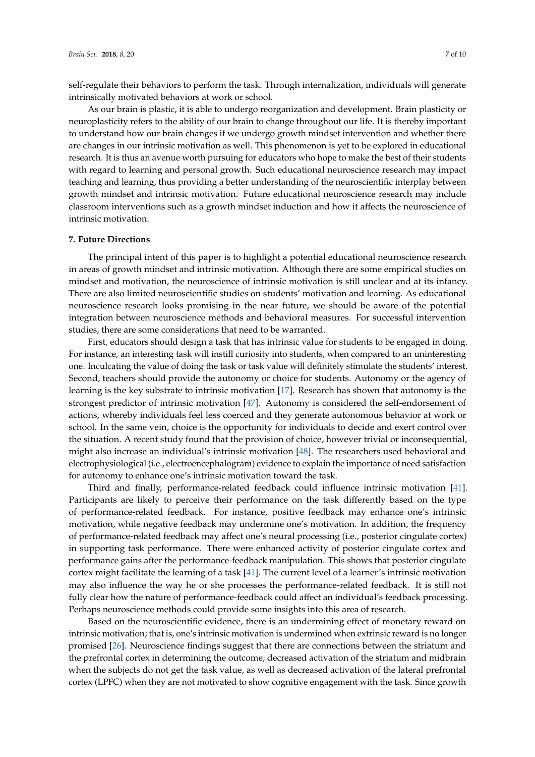self-regulate their behaviors to perform the task. Through internalization, individuals will generate intrinsically motivated behaviors at work or school.

As our brain is plastic, it is able to undergo reorganization and development. Brain plasticity or neuroplasticity refers to the ability of our brain to change throughout our life. It is thereby important to understand how our brain changes if we undergo growth mindset intervention and whether there are changes in our intrinsic motivation as well. This phenomenon is yet to be explored in educational research. It is thus an avenue worth pursuing for educators who hope to make the best of their students with regard to learning and personal growth. Such educational neuroscience research may impact teaching and learning, thus providing a better understanding of the neuroscientific interplay between growth mindset and intrinsic motivation. Future educational neuroscience research may include classroom interventions such as a growth mindset induction and how it affects the neuroscience of intrinsic motivation.

#### **7. Future Directions**

The principal intent of this paper is to highlight a potential educational neuroscience research in areas of growth mindset and intrinsic motivation. Although there are some empirical studies on mindset and motivation, the neuroscience of intrinsic motivation is still unclear and at its infancy. There are also limited neuroscientific studies on students' motivation and learning. As educational neuroscience research looks promising in the near future, we should be aware of the potential integration between neuroscience methods and behavioral measures. For successful intervention studies, there are some considerations that need to be warranted.

First, educators should design a task that has intrinsic value for students to be engaged in doing. For instance, an interesting task will instill curiosity into students, when compared to an uninteresting one. Inculcating the value of doing the task or task value will definitely stimulate the students' interest. Second, teachers should provide the autonomy or choice for students. Autonomy or the agency of learning is the key substrate to intrinsic motivation [\[17\]](#page-8-8). Research has shown that autonomy is the strongest predictor of intrinsic motivation [\[47\]](#page-9-13). Autonomy is considered the self-endorsement of actions, whereby individuals feel less coerced and they generate autonomous behavior at work or school. In the same vein, choice is the opportunity for individuals to decide and exert control over the situation. A recent study found that the provision of choice, however trivial or inconsequential, might also increase an individual's intrinsic motivation [\[48\]](#page-9-14). The researchers used behavioral and electrophysiological (i.e., electroencephalogram) evidence to explain the importance of need satisfaction for autonomy to enhance one's intrinsic motivation toward the task.

Third and finally, performance-related feedback could influence intrinsic motivation [\[41\]](#page-9-7). Participants are likely to perceive their performance on the task differently based on the type of performance-related feedback. For instance, positive feedback may enhance one's intrinsic motivation, while negative feedback may undermine one's motivation. In addition, the frequency of performance-related feedback may affect one's neural processing (i.e., posterior cingulate cortex) in supporting task performance. There were enhanced activity of posterior cingulate cortex and performance gains after the performance-feedback manipulation. This shows that posterior cingulate cortex might facilitate the learning of a task [\[41\]](#page-9-7). The current level of a learner's intrinsic motivation may also influence the way he or she processes the performance-related feedback. It is still not fully clear how the nature of performance-feedback could affect an individual's feedback processing. Perhaps neuroscience methods could provide some insights into this area of research.

Based on the neuroscientific evidence, there is an undermining effect of monetary reward on intrinsic motivation; that is, one's intrinsic motivation is undermined when extrinsic reward is no longer promised [\[26\]](#page-8-17). Neuroscience findings suggest that there are connections between the striatum and the prefrontal cortex in determining the outcome; decreased activation of the striatum and midbrain when the subjects do not get the task value, as well as decreased activation of the lateral prefrontal cortex (LPFC) when they are not motivated to show cognitive engagement with the task. Since growth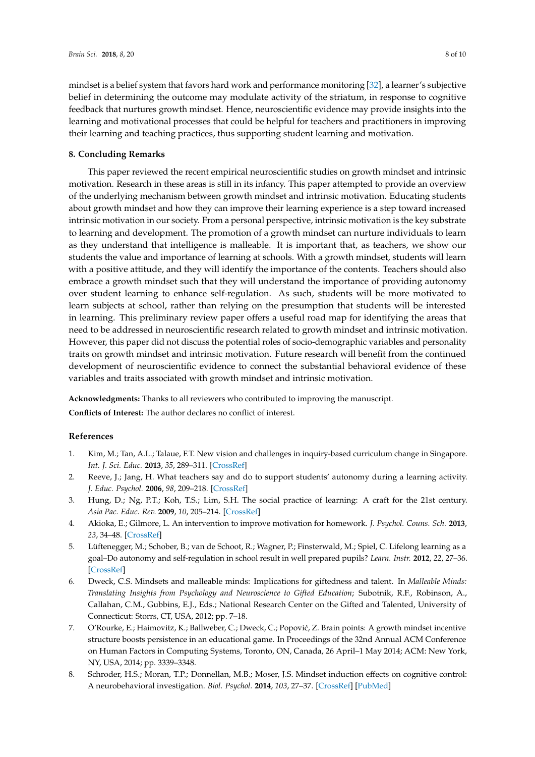mindset is a belief system that favors hard work and performance monitoring [\[32\]](#page-8-23), a learner's subjective belief in determining the outcome may modulate activity of the striatum, in response to cognitive feedback that nurtures growth mindset. Hence, neuroscientific evidence may provide insights into the learning and motivational processes that could be helpful for teachers and practitioners in improving their learning and teaching practices, thus supporting student learning and motivation.

# **8. Concluding Remarks**

This paper reviewed the recent empirical neuroscientific studies on growth mindset and intrinsic motivation. Research in these areas is still in its infancy. This paper attempted to provide an overview of the underlying mechanism between growth mindset and intrinsic motivation. Educating students about growth mindset and how they can improve their learning experience is a step toward increased intrinsic motivation in our society. From a personal perspective, intrinsic motivation is the key substrate to learning and development. The promotion of a growth mindset can nurture individuals to learn as they understand that intelligence is malleable. It is important that, as teachers, we show our students the value and importance of learning at schools. With a growth mindset, students will learn with a positive attitude, and they will identify the importance of the contents. Teachers should also embrace a growth mindset such that they will understand the importance of providing autonomy over student learning to enhance self-regulation. As such, students will be more motivated to learn subjects at school, rather than relying on the presumption that students will be interested in learning. This preliminary review paper offers a useful road map for identifying the areas that need to be addressed in neuroscientific research related to growth mindset and intrinsic motivation. However, this paper did not discuss the potential roles of socio-demographic variables and personality traits on growth mindset and intrinsic motivation. Future research will benefit from the continued development of neuroscientific evidence to connect the substantial behavioral evidence of these variables and traits associated with growth mindset and intrinsic motivation.

**Acknowledgments:** Thanks to all reviewers who contributed to improving the manuscript.

**Conflicts of Interest:** The author declares no conflict of interest.

# **References**

- <span id="page-7-0"></span>1. Kim, M.; Tan, A.L.; Talaue, F.T. New vision and challenges in inquiry-based curriculum change in Singapore. *Int. J. Sci. Educ.* **2013**, *35*, 289–311. [\[CrossRef\]](http://dx.doi.org/10.1080/09500693.2011.636844)
- <span id="page-7-1"></span>2. Reeve, J.; Jang, H. What teachers say and do to support students' autonomy during a learning activity. *J. Educ. Psychol.* **2006**, *98*, 209–218. [\[CrossRef\]](http://dx.doi.org/10.1037/0022-0663.98.1.209)
- <span id="page-7-2"></span>3. Hung, D.; Ng, P.T.; Koh, T.S.; Lim, S.H. The social practice of learning: A craft for the 21st century. *Asia Pac. Educ. Rev.* **2009**, *10*, 205–214. [\[CrossRef\]](http://dx.doi.org/10.1007/s12564-009-9025-0)
- <span id="page-7-3"></span>4. Akioka, E.; Gilmore, L. An intervention to improve motivation for homework. *J. Psychol. Couns. Sch.* **2013**, *23*, 34–48. [\[CrossRef\]](http://dx.doi.org/10.1017/jgc.2013.2)
- <span id="page-7-4"></span>5. Lüftenegger, M.; Schober, B.; van de Schoot, R.; Wagner, P.; Finsterwald, M.; Spiel, C. Lifelong learning as a goal–Do autonomy and self-regulation in school result in well prepared pupils? *Learn. Instr.* **2012**, *22*, 27–36. [\[CrossRef\]](http://dx.doi.org/10.1016/j.learninstruc.2011.06.001)
- <span id="page-7-5"></span>6. Dweck, C.S. Mindsets and malleable minds: Implications for giftedness and talent. In *Malleable Minds: Translating Insights from Psychology and Neuroscience to Gifted Education*; Subotnik, R.F., Robinson, A., Callahan, C.M., Gubbins, E.J., Eds.; National Research Center on the Gifted and Talented, University of Connecticut: Storrs, CT, USA, 2012; pp. 7–18.
- <span id="page-7-6"></span>7. O'Rourke, E.; Haimovitz, K.; Ballweber, C.; Dweck, C.; Popović, Z. Brain points: A growth mindset incentive structure boosts persistence in an educational game. In Proceedings of the 32nd Annual ACM Conference on Human Factors in Computing Systems, Toronto, ON, Canada, 26 April–1 May 2014; ACM: New York, NY, USA, 2014; pp. 3339–3348.
- <span id="page-7-7"></span>8. Schroder, H.S.; Moran, T.P.; Donnellan, M.B.; Moser, J.S. Mindset induction effects on cognitive control: A neurobehavioral investigation. *Biol. Psychol.* **2014**, *103*, 27–37. [\[CrossRef\]](http://dx.doi.org/10.1016/j.biopsycho.2014.08.004) [\[PubMed\]](http://www.ncbi.nlm.nih.gov/pubmed/25149141)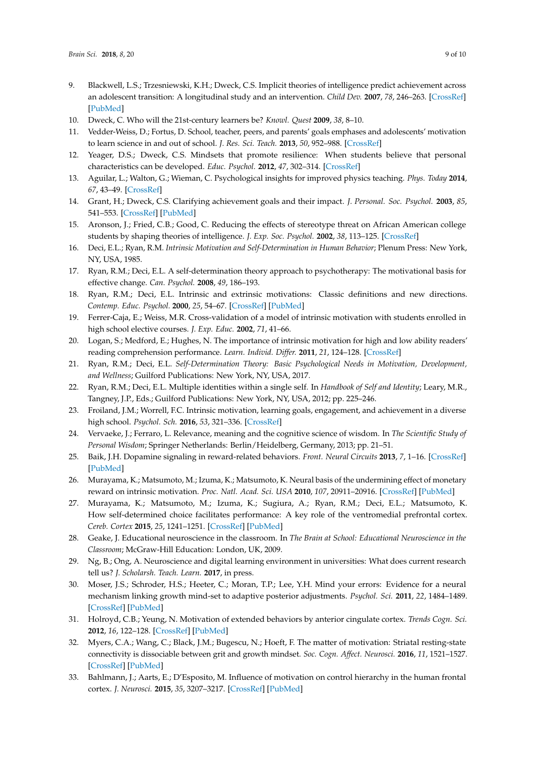- <span id="page-8-0"></span>9. Blackwell, L.S.; Trzesniewski, K.H.; Dweck, C.S. Implicit theories of intelligence predict achievement across an adolescent transition: A longitudinal study and an intervention. *Child Dev.* **2007**, *78*, 246–263. [\[CrossRef\]](http://dx.doi.org/10.1111/j.1467-8624.2007.00995.x) [\[PubMed\]](http://www.ncbi.nlm.nih.gov/pubmed/17328703)
- <span id="page-8-1"></span>10. Dweck, C. Who will the 21st-century learners be? *Knowl. Quest* **2009**, *38*, 8–10.
- <span id="page-8-2"></span>11. Vedder-Weiss, D.; Fortus, D. School, teacher, peers, and parents' goals emphases and adolescents' motivation to learn science in and out of school. *J. Res. Sci. Teach.* **2013**, *50*, 952–988. [\[CrossRef\]](http://dx.doi.org/10.1002/tea.21103)
- <span id="page-8-3"></span>12. Yeager, D.S.; Dweck, C.S. Mindsets that promote resilience: When students believe that personal characteristics can be developed. *Educ. Psychol.* **2012**, *47*, 302–314. [\[CrossRef\]](http://dx.doi.org/10.1080/00461520.2012.722805)
- <span id="page-8-4"></span>13. Aguilar, L.; Walton, G.; Wieman, C. Psychological insights for improved physics teaching. *Phys. Today* **2014**, *67*, 43–49. [\[CrossRef\]](http://dx.doi.org/10.1063/PT.3.2383)
- <span id="page-8-5"></span>14. Grant, H.; Dweck, C.S. Clarifying achievement goals and their impact. *J. Personal. Soc. Psychol.* **2003**, *85*, 541–553. [\[CrossRef\]](http://dx.doi.org/10.1037/0022-3514.85.3.541) [\[PubMed\]](http://www.ncbi.nlm.nih.gov/pubmed/14498789)
- <span id="page-8-6"></span>15. Aronson, J.; Fried, C.B.; Good, C. Reducing the effects of stereotype threat on African American college students by shaping theories of intelligence. *J. Exp. Soc. Psychol.* **2002**, *38*, 113–125. [\[CrossRef\]](http://dx.doi.org/10.1006/jesp.2001.1491)
- <span id="page-8-7"></span>16. Deci, E.L.; Ryan, R.M. *Intrinsic Motivation and Self-Determination in Human Behavior*; Plenum Press: New York, NY, USA, 1985.
- <span id="page-8-8"></span>17. Ryan, R.M.; Deci, E.L. A self-determination theory approach to psychotherapy: The motivational basis for effective change. *Can. Psychol.* **2008**, *49*, 186–193.
- <span id="page-8-9"></span>18. Ryan, R.M.; Deci, E.L. Intrinsic and extrinsic motivations: Classic definitions and new directions. *Contemp. Educ. Psychol.* **2000**, *25*, 54–67. [\[CrossRef\]](http://dx.doi.org/10.1006/ceps.1999.1020) [\[PubMed\]](http://www.ncbi.nlm.nih.gov/pubmed/10620381)
- <span id="page-8-10"></span>19. Ferrer-Caja, E.; Weiss, M.R. Cross-validation of a model of intrinsic motivation with students enrolled in high school elective courses. *J. Exp. Educ.* **2002**, *71*, 41–66.
- <span id="page-8-11"></span>20. Logan, S.; Medford, E.; Hughes, N. The importance of intrinsic motivation for high and low ability readers' reading comprehension performance. *Learn. Individ. Differ.* **2011**, *21*, 124–128. [\[CrossRef\]](http://dx.doi.org/10.1016/j.lindif.2010.09.011)
- <span id="page-8-12"></span>21. Ryan, R.M.; Deci, E.L. *Self-Determination Theory: Basic Psychological Needs in Motivation, Development, and Wellness*; Guilford Publications: New York, NY, USA, 2017.
- <span id="page-8-13"></span>22. Ryan, R.M.; Deci, E.L. Multiple identities within a single self. In *Handbook of Self and Identity*; Leary, M.R., Tangney, J.P., Eds.; Guilford Publications: New York, NY, USA, 2012; pp. 225–246.
- <span id="page-8-14"></span>23. Froiland, J.M.; Worrell, F.C. Intrinsic motivation, learning goals, engagement, and achievement in a diverse high school. *Psychol. Sch.* **2016**, *53*, 321–336. [\[CrossRef\]](http://dx.doi.org/10.1002/pits.21901)
- <span id="page-8-15"></span>24. Vervaeke, J.; Ferraro, L. Relevance, meaning and the cognitive science of wisdom. In *The Scientific Study of Personal Wisdom*; Springer Netherlands: Berlin/Heidelberg, Germany, 2013; pp. 21–51.
- <span id="page-8-16"></span>25. Baik, J.H. Dopamine signaling in reward-related behaviors. *Front. Neural Circuits* **2013**, *7*, 1–16. [\[CrossRef\]](http://dx.doi.org/10.3389/fncir.2013.00152) [\[PubMed\]](http://www.ncbi.nlm.nih.gov/pubmed/24130517)
- <span id="page-8-17"></span>26. Murayama, K.; Matsumoto, M.; Izuma, K.; Matsumoto, K. Neural basis of the undermining effect of monetary reward on intrinsic motivation. *Proc. Natl. Acad. Sci. USA* **2010**, *107*, 20911–20916. [\[CrossRef\]](http://dx.doi.org/10.1073/pnas.1013305107) [\[PubMed\]](http://www.ncbi.nlm.nih.gov/pubmed/21078974)
- <span id="page-8-18"></span>27. Murayama, K.; Matsumoto, M.; Izuma, K.; Sugiura, A.; Ryan, R.M.; Deci, E.L.; Matsumoto, K. How self-determined choice facilitates performance: A key role of the ventromedial prefrontal cortex. *Cereb. Cortex* **2015**, *25*, 1241–1251. [\[CrossRef\]](http://dx.doi.org/10.1093/cercor/bht317) [\[PubMed\]](http://www.ncbi.nlm.nih.gov/pubmed/24297329)
- <span id="page-8-19"></span>28. Geake, J. Educational neuroscience in the classroom. In *The Brain at School: Educational Neuroscience in the Classroom*; McGraw-Hill Education: London, UK, 2009.
- <span id="page-8-20"></span>29. Ng, B.; Ong, A. Neuroscience and digital learning environment in universities: What does current research tell us? *J. Scholarsh. Teach. Learn.* **2017**, in press.
- <span id="page-8-21"></span>30. Moser, J.S.; Schroder, H.S.; Heeter, C.; Moran, T.P.; Lee, Y.H. Mind your errors: Evidence for a neural mechanism linking growth mind-set to adaptive posterior adjustments. *Psychol. Sci.* **2011**, *22*, 1484–1489. [\[CrossRef\]](http://dx.doi.org/10.1177/0956797611419520) [\[PubMed\]](http://www.ncbi.nlm.nih.gov/pubmed/22042726)
- <span id="page-8-22"></span>31. Holroyd, C.B.; Yeung, N. Motivation of extended behaviors by anterior cingulate cortex. *Trends Cogn. Sci.* **2012**, *16*, 122–128. [\[CrossRef\]](http://dx.doi.org/10.1016/j.tics.2011.12.008) [\[PubMed\]](http://www.ncbi.nlm.nih.gov/pubmed/22226543)
- <span id="page-8-23"></span>32. Myers, C.A.; Wang, C.; Black, J.M.; Bugescu, N.; Hoeft, F. The matter of motivation: Striatal resting-state connectivity is dissociable between grit and growth mindset. *Soc. Cogn. Affect. Neurosci.* **2016**, *11*, 1521–1527. [\[CrossRef\]](http://dx.doi.org/10.1093/scan/nsw065) [\[PubMed\]](http://www.ncbi.nlm.nih.gov/pubmed/27217105)
- <span id="page-8-24"></span>33. Bahlmann, J.; Aarts, E.; D'Esposito, M. Influence of motivation on control hierarchy in the human frontal cortex. *J. Neurosci.* **2015**, *35*, 3207–3217. [\[CrossRef\]](http://dx.doi.org/10.1523/JNEUROSCI.2389-14.2015) [\[PubMed\]](http://www.ncbi.nlm.nih.gov/pubmed/25698755)